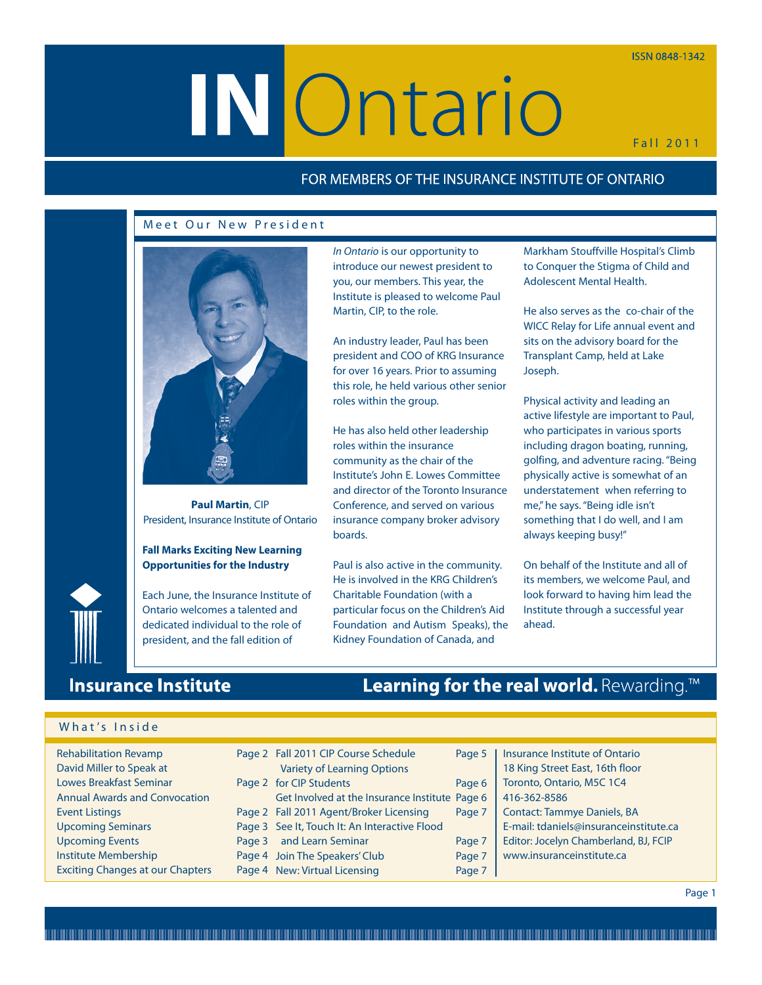# **ISSN 0848-1342**

# **IN Ontario**

In Ontario is our opportunity to introduce our newest president to you, our members. This year, the Institute is pleased to welcome Paul

An industry leader, Paul has been president and COO of KRG Insurance for over 16 years. Prior to assuming this role, he held various other senior

He has also held other leadership roles within the insurance community as the chair of the Institute's John E. Lowes Committee and director of the Toronto Insurance Conference, and served on various insurance company broker advisory

Paul is also active in the community. He is involved in the KRG Children's Charitable Foundation (with a particular focus on the Children's Aid Foundation and Autism Speaks), the Kidney Foundation of Canada, and

Martin, CIP, to the role.

roles within the group.

boards.

Fall 2011

# FOR MEMBERS OF THE INSURANCE INSTITUTE OF ONTARIO

# Meet Our New President



**Paul Martin**, CIP President, Insurance Institute of Ontario

# **Fall Marks Exciting New Learning Opportunities for the Industry**

Each June, the Insurance Institute of Ontario welcomes a talented and dedicated individual to the role of president, and the fall edition of

# **Insurance Institute**

What's Inside

# Learning for the real world. Rewarding.<sup>™</sup>

| <b>Rehabilitation Revamp</b><br>David Miller to Speak at |        | Page 2 Fall 2011 CIP Course Schedule<br><b>Variety of Learning Options</b> | Page 5 | Insurance Institute of Ontario<br>18 King Street East, 16th floor |
|----------------------------------------------------------|--------|----------------------------------------------------------------------------|--------|-------------------------------------------------------------------|
| <b>Lowes Breakfast Seminar</b>                           |        | Page 2 for CIP Students                                                    | Page 6 | Toronto, Ontario, M5C 1C4                                         |
| <b>Annual Awards and Convocation</b>                     |        | Get Involved at the Insurance Institute Page 6                             |        | 416-362-8586                                                      |
| <b>Event Listings</b>                                    |        | Page 2 Fall 2011 Agent/Broker Licensing                                    | Page 7 | <b>Contact: Tammye Daniels, BA</b>                                |
| <b>Upcoming Seminars</b>                                 |        | Page 3 See It, Touch It: An Interactive Flood                              |        | E-mail: tdaniels@insuranceinstitute.ca                            |
| <b>Upcoming Events</b>                                   | Page 3 | and Learn Seminar                                                          | Page 7 | Editor: Jocelyn Chamberland, BJ, FCIP                             |
| <b>Institute Membership</b>                              |        | Page 4 Join The Speakers' Club                                             | Page 7 | www.insuranceinstitute.ca                                         |
| <b>Exciting Changes at our Chapters</b>                  |        | Page 4 New: Virtual Licensing                                              | Page 7 |                                                                   |

Markham Stouffville Hospital's Climb to Conquer the Stigma of Child and Adolescent Mental Health.

He also serves as the co-chair of the WICC Relay for Life annual event and sits on the advisory board for the Transplant Camp, held at Lake Joseph.

Physical activity and leading an active lifestyle are important to Paul, who participates in various sports including dragon boating, running, golfing, and adventure racing. "Being physically active is somewhat of an understatement when referring to me," he says. "Being idle isn't something that I do well, and I am always keeping busy!"

On behalf of the Institute and all of its members, we welcome Paul, and look forward to having him lead the Institute through a successful year ahead.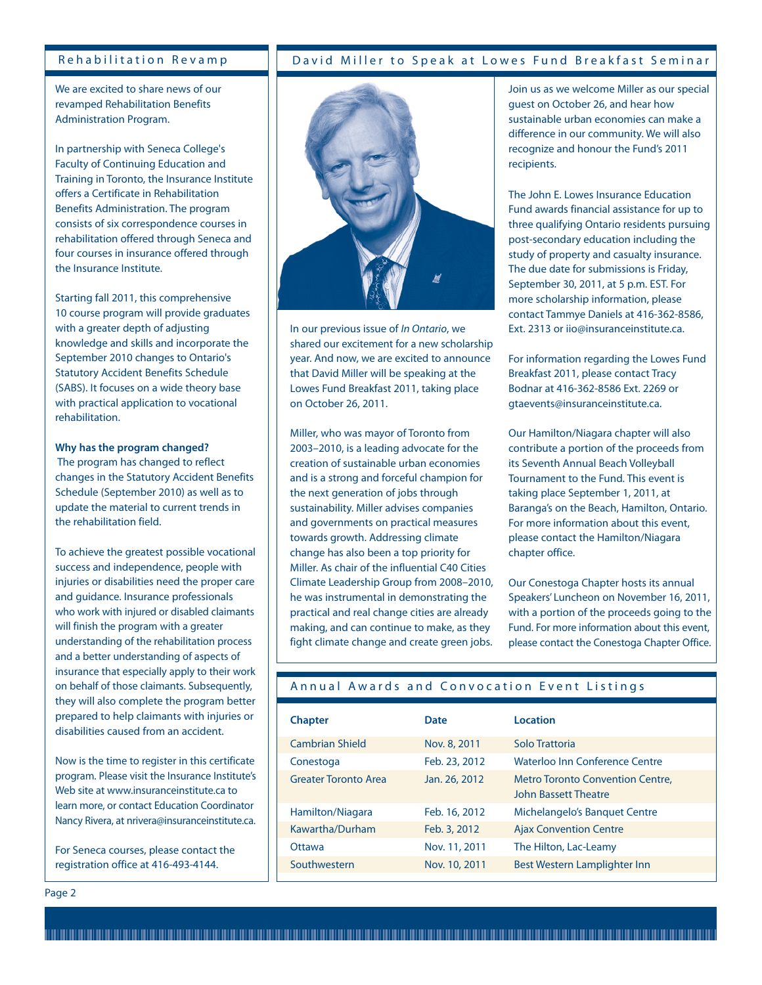# Rehabilitation Revamp

We are excited to share news of our revamped Rehabilitation Benefits Administration Program.

In partnership with Seneca College's Faculty of Continuing Education and Training in Toronto, the Insurance Institute offers a Certificate in Rehabilitation Benefits Administration. The program consists of six correspondence courses in rehabilitation offered through Seneca and four courses in insurance offered through the Insurance Institute.

Starting fall 2011, this comprehensive 10 course program will provide graduates with a greater depth of adjusting knowledge and skills and incorporate the September 2010 changes to Ontario's Statutory Accident Benefits Schedule (SABS). It focuses on a wide theory base with practical application to vocational rehabilitation.

# **Why has the program changed?**

The program has changed to reflect changes in the Statutory Accident Benefits Schedule (September 2010) as well as to update the material to current trends in the rehabilitation field.

To achieve the greatest possible vocational success and independence, people with injuries or disabilities need the proper care and guidance. Insurance professionals who work with injured or disabled claimants will finish the program with a greater understanding of the rehabilitation process and a better understanding of aspects of insurance that especially apply to their work on behalf of those claimants. Subsequently, they will also complete the program better prepared to help claimants with injuries or disabilities caused from an accident.

Now is the time to register in this certificate program. Please visit the Insurance Institute's Web site at www.insuranceinstitute.ca to learn more, or contact Education Coordinator Nancy Rivera, at nrivera@insuranceinstitute.ca.

For Seneca courses, please contact the registration office at 416-493-4144.

## Page 2

# David Miller to Speak at Lowes Fund Breakfast Seminar



In our previous issue of In Ontario, we shared our excitement for a new scholarship year. And now, we are excited to announce that David Miller will be speaking at the Lowes Fund Breakfast 2011, taking place on October 26, 2011.

Miller, who was mayor of Toronto from 2003–2010, is a leading advocate for the creation of sustainable urban economies and is a strong and forceful champion for the next generation of jobs through sustainability. Miller advises companies and governments on practical measures towards growth. Addressing climate change has also been a top priority for Miller. As chair of the influential C40 Cities Climate Leadership Group from 2008–2010, he was instrumental in demonstrating the practical and real change cities are already making, and can continue to make, as they fight climate change and create green jobs.

Join us as we welcome Miller as our special guest on October 26, and hear how sustainable urban economies can make a difference in our community. We will also recognize and honour the Fund's 2011 recipients.

The John E. Lowes Insurance Education Fund awards financial assistance for up to three qualifying Ontario residents pursuing post-secondary education including the study of property and casualty insurance. The due date for submissions is Friday, September 30, 2011, at 5 p.m. EST. For more scholarship information, please contact Tammye Daniels at 416-362-8586, Ext. 2313 or iio@insuranceinstitute.ca.

For information regarding the Lowes Fund Breakfast 2011, please contact Tracy Bodnar at 416-362-8586 Ext. 2269 or gtaevents@insuranceinstitute.ca.

Our Hamilton/Niagara chapter will also contribute a portion of the proceeds from its Seventh Annual Beach Volleyball Tournament to the Fund. This event is taking place September 1, 2011, at Baranga's on the Beach, Hamilton, Ontario. For more information about this event, please contact the Hamilton/Niagara chapter office.

Our Conestoga Chapter hosts its annual Speakers' Luncheon on November 16, 2011, with a portion of the proceeds going to the Fund. For more information about this event, please contact the Conestoga Chapter Office.

# Annual Awards and Convocation Event Listings

| <b>Chapter</b>              | Date          | Location                                                        |
|-----------------------------|---------------|-----------------------------------------------------------------|
| <b>Cambrian Shield</b>      | Nov. 8, 2011  | Solo Trattoria                                                  |
| Conestoga                   | Feb. 23, 2012 | Waterloo Inn Conference Centre                                  |
| <b>Greater Toronto Area</b> | Jan. 26, 2012 | <b>Metro Toronto Convention Centre,</b><br>John Bassett Theatre |
| Hamilton/Niagara            | Feb. 16, 2012 | Michelangelo's Banquet Centre                                   |
| Kawartha/Durham             | Feb. 3, 2012  | <b>Ajax Convention Centre</b>                                   |
| Ottawa                      | Nov. 11, 2011 | The Hilton, Lac-Leamy                                           |
| Southwestern                | Nov. 10, 2011 | Best Western Lamplighter Inn                                    |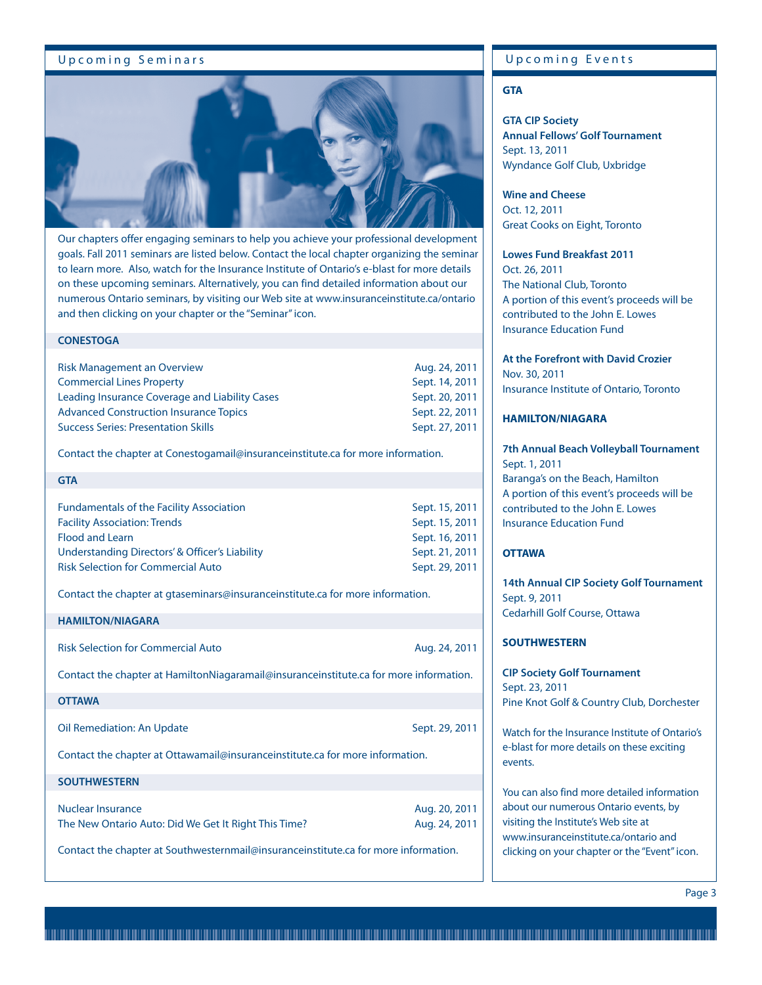# Upcoming Seminars



Our chapters offer engaging seminars to help you achieve your professional development goals. Fall 2011 seminars are listed below. Contact the local chapter organizing the seminar to learn more. Also, watch for the Insurance Institute of Ontario's e-blast for more details on these upcoming seminars. Alternatively, you can find detailed information about our numerous Ontario seminars, by visiting our Web site at www.insuranceinstitute.ca/ontario and then clicking on your chapter or the "Seminar" icon.

# **CONESTOGA**

| <b>Risk Management an Overview</b>             | Aug. 24, 2011  |
|------------------------------------------------|----------------|
| <b>Commercial Lines Property</b>               | Sept. 14, 2011 |
| Leading Insurance Coverage and Liability Cases | Sept. 20, 2011 |
| <b>Advanced Construction Insurance Topics</b>  | Sept. 22, 2011 |
| <b>Success Series: Presentation Skills</b>     | Sept. 27, 2011 |

Contact the chapter at Conestogamail@insuranceinstitute.ca for more information.

| <b>GTA</b>                                      |                |
|-------------------------------------------------|----------------|
|                                                 |                |
| <b>Fundamentals of the Facility Association</b> | Sept. 15, 2011 |
| <b>Facility Association: Trends</b>             | Sept. 15, 2011 |
| <b>Flood and Learn</b>                          | Sept. 16, 2011 |
| Understanding Directors' & Officer's Liability  | Sept. 21, 2011 |
| <b>Risk Selection for Commercial Auto</b>       | Sept. 29, 2011 |

Contact the chapter at gtaseminars@insuranceinstitute.ca for more information.

#### **HAMILTON/NIAGARA**

| <b>Risk Selection for Commercial Auto</b>                                                                   | Aug. 24, 2011                  |
|-------------------------------------------------------------------------------------------------------------|--------------------------------|
| Contact the chapter at HamiltonNiagaramail@insuranceinstitute.ca for more information.                      |                                |
| <b>OTTAWA</b>                                                                                               |                                |
| Oil Remediation: An Update<br>Contact the chapter at Ottawamail@insuranceinstitute.ca for more information. | Sept. 29, 2011                 |
| <b>SOUTHWESTERN</b>                                                                                         |                                |
| Nuclear Insurance<br>The New Ontario Auto: Did We Get It Right This Time?                                   | Aug. 20, 2011<br>Aug. 24, 2011 |

Contact the chapter at Southwesternmail@insuranceinstitute.ca for more information.

# Upcoming Events

# **GTA**

**GTA CIP Society Annual Fellows' Golf Tournament**  Sept. 13, 2011 Wyndance Golf Club, Uxbridge

**Wine and Cheese** Oct. 12, 2011 Great Cooks on Eight, Toronto

# **Lowes Fund Breakfast 2011**

Oct. 26, 2011 The National Club, Toronto A portion of this event's proceeds will be contributed to the John E. Lowes Insurance Education Fund

# **At the Forefront with David Crozier** Nov. 30, 2011 Insurance Institute of Ontario, Toronto

# **HAMILTON/NIAGARA**

**7th Annual Beach Volleyball Tournament** Sept. 1, 2011 Baranga's on the Beach, Hamilton A portion of this event's proceeds will be contributed to the John E. Lowes Insurance Education Fund

# **OTTAWA**

**14th Annual CIP Society Golf Tournament** Sept. 9, 2011 Cedarhill Golf Course, Ottawa

# **SOUTHWESTERN**

**CIP Society Golf Tournament** Sept. 23, 2011 Pine Knot Golf & Country Club, Dorchester

Watch for the Insurance Institute of Ontario's e-blast for more details on these exciting events.

You can also find more detailed information about our numerous Ontario events, by visiting the Institute's Web site at www.insuranceinstitute.ca/ontario and clicking on your chapter or the "Event"icon.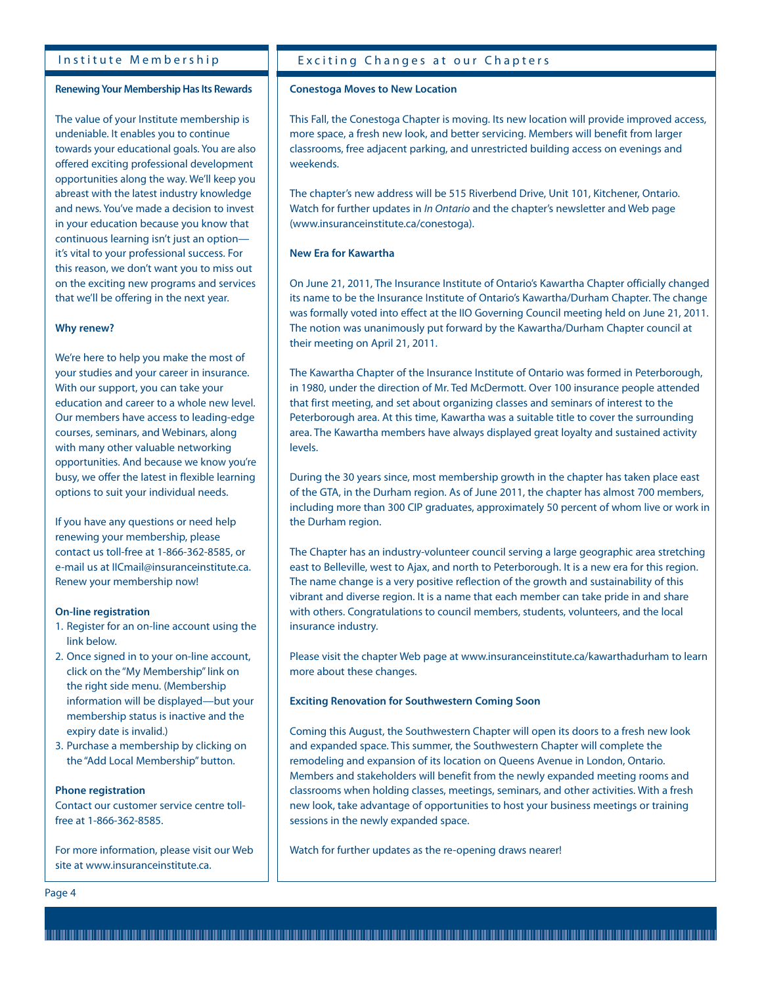# Institute Membership

# **Renewing Your Membership Has Its Rewards**

The value of your Institute membership is undeniable. It enables you to continue towards your educational goals. You are also offered exciting professional development opportunities along the way. We'll keep you abreast with the latest industry knowledge and news. You've made a decision to invest in your education because you know that continuous learning isn't just an option it's vital to your professional success. For this reason, we don't want you to miss out on the exciting new programs and services that we'll be offering in the next year.

# **Why renew?**

We're here to help you make the most of your studies and your career in insurance. With our support, you can take your education and career to a whole new level. Our members have access to leading-edge courses, seminars, and Webinars, along with many other valuable networking opportunities. And because we know you're busy, we offer the latest in flexible learning options to suit your individual needs.

If you have any questions or need help renewing your membership, please contact us toll-free at 1-866-362-8585, or e-mail us at IICmail@insuranceinstitute.ca. Renew your membership now!

### **On-line registration**

- 1. Register for an on-line account using the link below.
- 2. Once signed in to your on-line account, click on the "My Membership" link on the right side menu. (Membership information will be displayed—but your membership status is inactive and the expiry date is invalid.)
- 3. Purchase a membership by clicking on the "Add Local Membership" button.

# **Phone registration**

Contact our customer service centre tollfree at 1-866-362-8585.

For more information, please visit our Web site at www.insuranceinstitute.ca.

# Exciting Changes at our Chapters

# **Conestoga Moves to New Location**

This Fall, the Conestoga Chapter is moving. Its new location will provide improved access, more space, a fresh new look, and better servicing. Members will benefit from larger classrooms, free adjacent parking, and unrestricted building access on evenings and weekends.

The chapter's new address will be 515 Riverbend Drive, Unit 101, Kitchener, Ontario. Watch for further updates in In Ontario and the chapter's newsletter and Web page (www.insuranceinstitute.ca/conestoga).

# **New Era for Kawartha**

On June 21, 2011, The Insurance Institute of Ontario's Kawartha Chapter officially changed its name to be the Insurance Institute of Ontario's Kawartha/Durham Chapter. The change was formally voted into effect at the IIO Governing Council meeting held on June 21, 2011. The notion was unanimously put forward by the Kawartha/Durham Chapter council at their meeting on April 21, 2011.

The Kawartha Chapter of the Insurance Institute of Ontario was formed in Peterborough, in 1980, under the direction of Mr. Ted McDermott. Over 100 insurance people attended that first meeting, and set about organizing classes and seminars of interest to the Peterborough area. At this time, Kawartha was a suitable title to cover the surrounding area. The Kawartha members have always displayed great loyalty and sustained activity levels.

During the 30 years since, most membership growth in the chapter has taken place east of the GTA, in the Durham region. As of June 2011, the chapter has almost 700 members, including more than 300 CIP graduates, approximately 50 percent of whom live or work in the Durham region.

The Chapter has an industry-volunteer council serving a large geographic area stretching east to Belleville, west to Ajax, and north to Peterborough. It is a new era for this region. The name change is a very positive reflection of the growth and sustainability of this vibrant and diverse region. It is a name that each member can take pride in and share with others. Congratulations to council members, students, volunteers, and the local insurance industry.

Please visit the chapter Web page at www.insuranceinstitute.ca/kawarthadurham to learn more about these changes.

### **Exciting Renovation for Southwestern Coming Soon**

Coming this August, the Southwestern Chapter will open its doors to a fresh new look and expanded space. This summer, the Southwestern Chapter will complete the remodeling and expansion of its location on Queens Avenue in London, Ontario. Members and stakeholders will benefit from the newly expanded meeting rooms and classrooms when holding classes, meetings, seminars, and other activities. With a fresh new look, take advantage of opportunities to host your business meetings or training sessions in the newly expanded space.

Watch for further updates as the re-opening draws nearer!

Page 4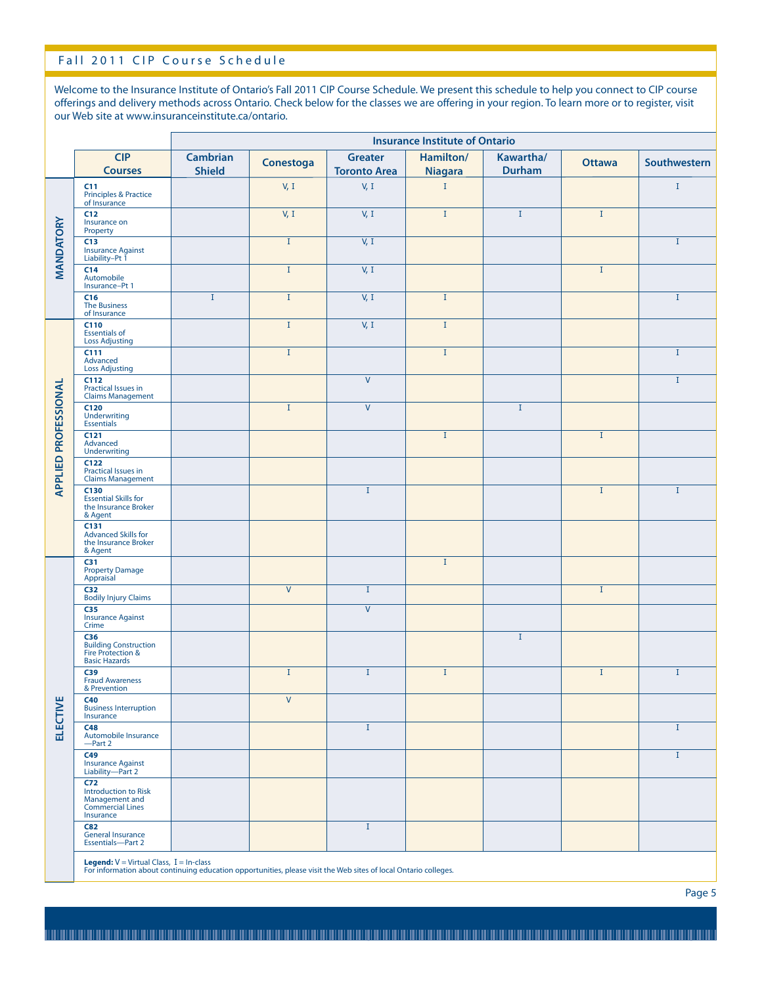# Fall 2011 CIP Course Schedule

Welcome to the Insurance Institute of Ontario's Fall 2011 CIP Course Schedule. We present this schedule to help you connect to CIP course offerings and delivery methods across Ontario. Check below for the classes we are offering in your region. To learn more or to register, visit our Web site at www.insuranceinstitute.ca/ontario.

|                             |                                                                                                                                                            | <b>Insurance Institute of Ontario</b> |                         |                                       |                             |                     |               |              |
|-----------------------------|------------------------------------------------------------------------------------------------------------------------------------------------------------|---------------------------------------|-------------------------|---------------------------------------|-----------------------------|---------------------|---------------|--------------|
|                             | <b>CIP</b><br><b>Courses</b>                                                                                                                               | <b>Cambrian</b><br><b>Shield</b>      | Conestoga               | <b>Greater</b><br><b>Toronto Area</b> | Hamilton/<br><b>Niagara</b> | Kawartha/<br>Durham | <b>Ottawa</b> | Southwestern |
| MANDATORY                   | C11<br>Principles & Practice<br>of Insurance                                                                                                               |                                       | V, I                    | V, I                                  | $\rm I$                     |                     |               | $\mathbf{I}$ |
|                             | C12<br>Insurance on<br>Property                                                                                                                            |                                       | V, I                    | V, I                                  | $\rm I$                     | $\mathbf{I}$        | $\mathbf{I}$  |              |
|                             | C13<br>Insurance Against<br>Liability-Pt 1                                                                                                                 |                                       | $\mathbf I$             | V, I                                  |                             |                     |               | $\mathbf{I}$ |
|                             | C14<br>Automobile<br>Insurance-Pt 1                                                                                                                        |                                       | $\mathbf{I}$            | V, I                                  |                             |                     | $\mathbf{I}$  |              |
|                             | C16<br>The Business<br>of Insurance                                                                                                                        | $\mathbf{I}$                          | $\mathbf I$             | V, I                                  | $\mathbf I$                 |                     |               | $\mathbf{I}$ |
| <b>APPLIED PROFESSIONAL</b> | C110<br><b>Essentials of<br/>Loss Adjusting</b>                                                                                                            |                                       | $\mathbf I$             | V, I                                  | $\rm I$                     |                     |               |              |
|                             | C111<br>Advanced<br><b>Loss Adjusting</b>                                                                                                                  |                                       | $\mathbf I$             |                                       | $\rm I$                     |                     |               | $\mathbf{I}$ |
|                             | C112<br>Practical Issues in<br><b>Claims Management</b>                                                                                                    |                                       |                         | $\mathsf{V}$                          |                             |                     |               | $\mathbf{I}$ |
|                             | C120<br><b>Underwriting</b><br>Essentials                                                                                                                  |                                       | $\mathbf{I}$            | $\vee$                                |                             | $\mathbf{I}$        |               |              |
|                             | C121<br>Advanced<br><b>Underwriting</b>                                                                                                                    |                                       |                         |                                       | $\mathbf I$                 |                     | $\mathbf{I}$  |              |
|                             | C122<br><b>Practical Issues in<br/>Claims Management</b>                                                                                                   |                                       |                         |                                       |                             |                     |               |              |
|                             | C130<br><b>Essential Skills for</b><br>the Insurance Broker<br>& Agent                                                                                     |                                       |                         | $\rm I$                               |                             |                     | $\mathbf I$   | $\rm I$      |
|                             | C131<br><b>Advanced Skills for</b><br>the Insurance Broker<br>& Agent                                                                                      |                                       |                         |                                       |                             |                     |               |              |
|                             | C31<br><b>Property Damage</b><br>Appraisal                                                                                                                 |                                       |                         |                                       | $\rm I$                     |                     |               |              |
|                             | C32<br><b>Bodily Injury Claims</b>                                                                                                                         |                                       | $\overline{\mathsf{V}}$ | $\mathbf{I}$                          |                             |                     | $\bf{I}$      |              |
|                             | C35<br><b>Insurance Against</b><br>Crime                                                                                                                   |                                       |                         | $\vee$                                |                             |                     |               |              |
|                             | <b>C36</b><br><b>Building Construction</b><br>Fire Protection &<br><b>Basic Hazards</b>                                                                    |                                       |                         |                                       |                             | $\mathbf I$         |               |              |
|                             | C39<br><b>Fraud Awareness</b><br>& Prevention                                                                                                              |                                       | $\mathbf I$             | $\bf{I}$                              | $\rm I$                     |                     | $\mathbf I$   | $\mathbf I$  |
| <b>ELECTIVE</b>             | <b>C40</b><br><b>Business Interruption</b><br>Insurance                                                                                                    |                                       | $\mathsf{V}$            |                                       |                             |                     |               |              |
|                             | C48<br>Automobile Insurance<br>-Part 2                                                                                                                     |                                       |                         | $\rm I$                               |                             |                     |               | $\mathbf{I}$ |
|                             | C49<br><b>Insurance Against<br/>Liability—Part 2</b>                                                                                                       |                                       |                         |                                       |                             |                     |               | $\mathbf{I}$ |
|                             | <b>C72</b><br>Introduction to Risk<br>Management and<br><b>Commercial Lines</b><br>Insurance                                                               |                                       |                         |                                       |                             |                     |               |              |
|                             | C82<br><b>General Insurance</b><br>Essentials-Part 2                                                                                                       |                                       |                         | $\bf{I}$                              |                             |                     |               |              |
|                             | Legend: V = Virtual Class, I = In-class<br>For information about continuing education opportunities, please visit the Web sites of local Ontario colleges. |                                       |                         |                                       |                             |                     |               |              |

Page 5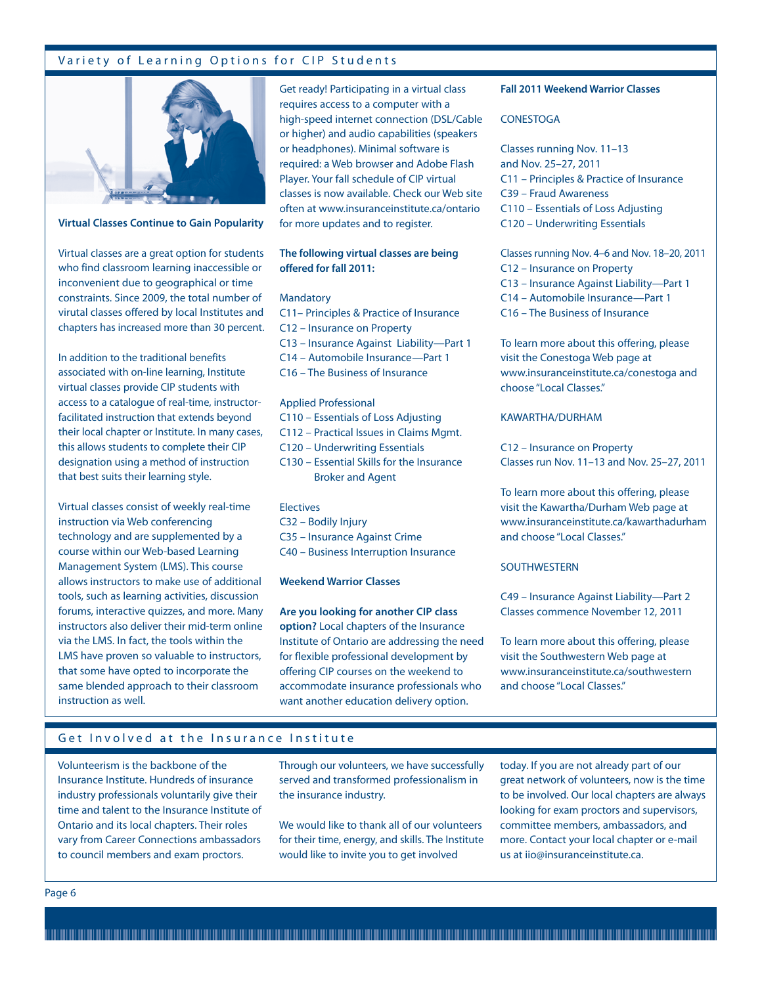# Variety of Learning Options for CIP Students



#### **Virtual Classes Continue to Gain Popularity**

Virtual classes are a great option for students who find classroom learning inaccessible or inconvenient due to geographical or time constraints. Since 2009, the total number of virutal classes offered by local Institutes and chapters has increased more than 30 percent.

In addition to the traditional benefits associated with on-line learning, Institute virtual classes provide CIP students with access to a catalogue of real-time, instructorfacilitated instruction that extends beyond their local chapter or Institute. In many cases, this allows students to complete their CIP designation using a method of instruction that best suits their learning style.

Virtual classes consist of weekly real-time instruction via Web conferencing technology and are supplemented by a course within our Web-based Learning Management System (LMS). This course allows instructors to make use of additional tools, such as learning activities, discussion forums, interactive quizzes, and more. Many instructors also deliver their mid-term online via the LMS. In fact, the tools within the LMS have proven so valuable to instructors, that some have opted to incorporate the same blended approach to their classroom instruction as well.

Get ready! Participating in a virtual class requires access to a computer with a high-speed internet connection (DSL/Cable or higher) and audio capabilities (speakers or headphones). Minimal software is required: a Web browser and Adobe Flash Player. Your fall schedule of CIP virtual classes is now available. Check our Web site often at www.insuranceinstitute.ca/ontario for more updates and to register.

# **The following virtual classes are being offered for fall 2011:**

#### **Mandatory**

- C11– Principles & Practice of Insurance C12 – Insurance on Property C13 – Insurance Against Liability—Part 1 C14 – Automobile Insurance—Part 1
- C16 The Business of Insurance

# Applied Professional

- C110 Essentials of Loss Adjusting
- C112 Practical Issues in Claims Mgmt.
- C120 Underwriting Essentials
- C130 Essential Skills for the Insurance Broker and Agent

# **Electives**

- C32 Bodily Injury
- C35 Insurance Against Crime
- C40 Business Interruption Insurance

# **Weekend Warrior Classes**

**Are you looking for another CIP class option?** Local chapters of the Insurance Institute of Ontario are addressing the need for flexible professional development by offering CIP courses on the weekend to accommodate insurance professionals who want another education delivery option.

# **Fall 2011 Weekend Warrior Classes**

#### **CONESTOGA**

Classes running Nov. 11–13 and Nov. 25–27, 2011 C11 – Principles & Practice of Insurance C39 – Fraud Awareness C110 – Essentials of Loss Adjusting C120 – Underwriting Essentials

Classes running Nov. 4–6 and Nov. 18–20, 2011 C12 – Insurance on Property C13 – Insurance Against Liability—Part 1 C14 – Automobile Insurance—Part 1 C16 – The Business of Insurance

To learn more about this offering, please visit the Conestoga Web page at www.insuranceinstitute.ca/conestoga and choose "Local Classes."

# KAWARTHA/DURHAM

C12 – Insurance on Property Classes run Nov. 11–13 and Nov. 25–27, 2011

To learn more about this offering, please visit the Kawartha/Durham Web page at www.insuranceinstitute.ca/kawarthadurham and choose "Local Classes."

# **SOUTHWESTERN**

C49 – Insurance Against Liability—Part 2 Classes commence November 12, 2011

To learn more about this offering, please visit the Southwestern Web page at www.insuranceinstitute.ca/southwestern and choose "Local Classes."

# Get Involved at the Insurance Institute

Volunteerism is the backbone of the Insurance Institute. Hundreds of insurance industry professionals voluntarily give their time and talent to the Insurance Institute of Ontario and its local chapters. Their roles vary from Career Connections ambassadors to council members and exam proctors.

Through our volunteers, we have successfully served and transformed professionalism in the insurance industry.

We would like to thank all of our volunteers for their time, energy, and skills. The Institute would like to invite you to get involved

today. If you are not already part of our great network of volunteers, now is the time to be involved. Our local chapters are always looking for exam proctors and supervisors, committee members, ambassadors, and more. Contact your local chapter or e-mail us at iio@insuranceinstitute.ca.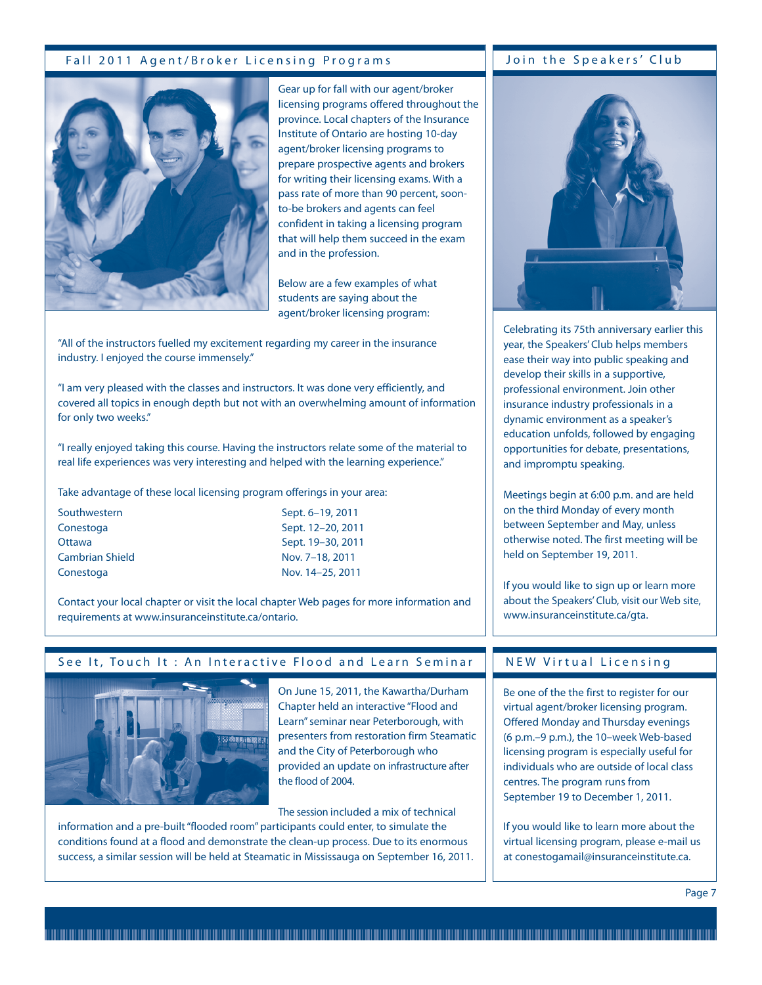# Fall 2011 Agent/Broker Licensing Programs Join the Speakers' Club



Gear up for fall with our agent/broker licensing programs offered throughout the province. Local chapters of the Insurance Institute of Ontario are hosting 10-day agent/broker licensing programs to prepare prospective agents and brokers for writing their licensing exams. With a pass rate of more than 90 percent, soonto-be brokers and agents can feel confident in taking a licensing program that will help them succeed in the exam and in the profession.

Below are a few examples of what students are saying about the agent/broker licensing program:

"All of the instructors fuelled my excitement regarding my career in the insurance industry. I enjoyed the course immensely."

"I am very pleased with the classes and instructors. It was done very efficiently, and covered all topics in enough depth but not with an overwhelming amount of information for only two weeks."

"I really enjoyed taking this course. Having the instructors relate some of the material to real life experiences was very interesting and helped with the learning experience."

Take advantage of these local licensing program offerings in your area:

- Cambrian Shield Nov. 7-18, 2011 Conestoga Nov. 14–25, 2011
- Southwestern Southwestern Sept. 6–19, 2011 Conestoga Sept. 12–20, 2011 Ottawa Sept. 19–30, 2011

Contact your local chapter or visit the local chapter Web pages for more information and requirements at www.insuranceinstitute.ca/ontario.



# See It, Touch It : An Interactive Flood and Learn Seminar

On June 15, 2011, the Kawartha/Durham Chapter held an interactive "Flood and Learn" seminar near Peterborough, with presenters from restoration firm Steamatic and the City of Peterborough who provided an update on infrastructure after the flood of 2004.

The session included a mix of technical

information and a pre-built "flooded room" participants could enter, to simulate the conditions found at a flood and demonstrate the clean-up process. Due to its enormous success, a similar session will be held at Steamatic in Mississauga on September 16, 2011.



Celebrating its 75th anniversary earlier this year, the Speakers' Club helps members ease their way into public speaking and develop their skills in a supportive, professional environment. Join other insurance industry professionals in a dynamic environment as a speaker's education unfolds, followed by engaging opportunities for debate, presentations, and impromptu speaking.

Meetings begin at 6:00 p.m. and are held on the third Monday of every month between September and May, unless otherwise noted. The first meeting will be held on September 19, 2011.

If you would like to sign up or learn more about the Speakers' Club, visit our Web site, www.insuranceinstitute.ca/gta.

# NEW Virtual Licensing

Be one of the the first to register for our virtual agent/broker licensing program. Offered Monday and Thursday evenings (6 p.m.–9 p.m.), the 10–week Web-based licensing program is especially useful for individuals who are outside of local class centres. The program runs from September 19 to December 1, 2011.

If you would like to learn more about the virtual licensing program, please e-mail us at conestogamail@insuranceinstitute.ca.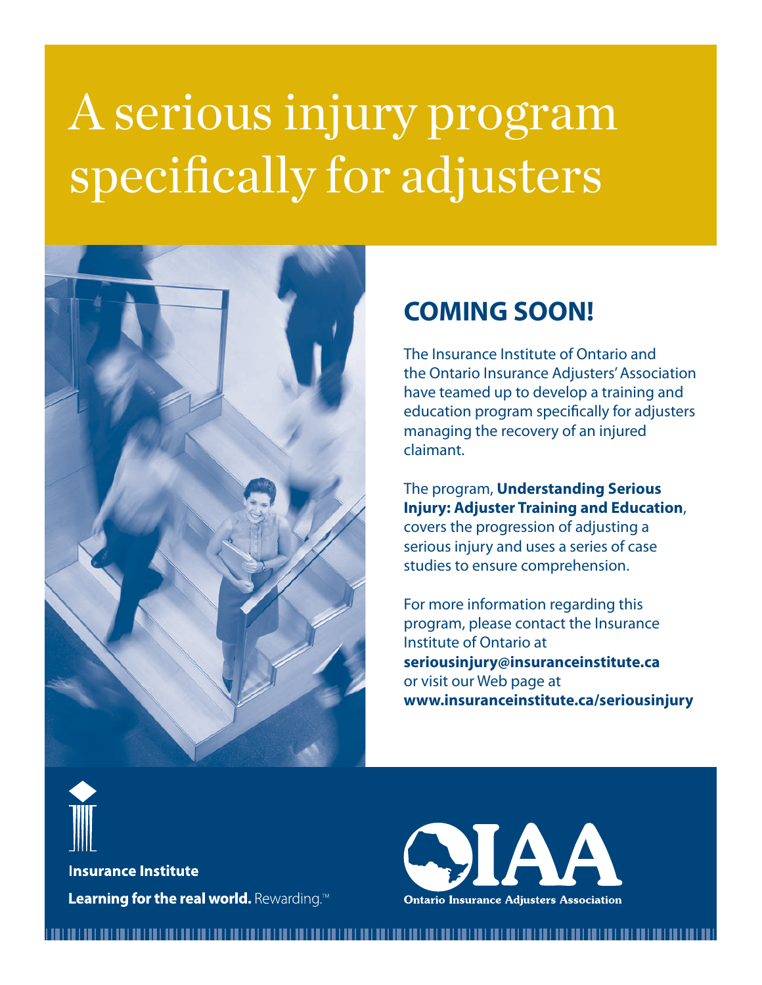# A serious injury program specifically for adjusters



# **COMING SOON!**

The Insurance Institute of Ontario and the Ontario Insurance Adjusters' Association have teamed up to develop a training and education program specifically for adjusters managing the recovery of an injured claimant.

The program, **Understanding Serious Injury: Adjuster Training and Education**, covers the progression of adjusting a serious injury and uses a series of case studies to ensure comprehension.

For more information regarding this program, please contact the Insurance Institute of Ontario at **seriousinjury@insuranceinstitute.ca** or visit our Web page at **www.insuranceinstitute.ca/seriousinjury**



**Insurance Institute** Learning for the real world. Rewarding.<sup>M</sup>

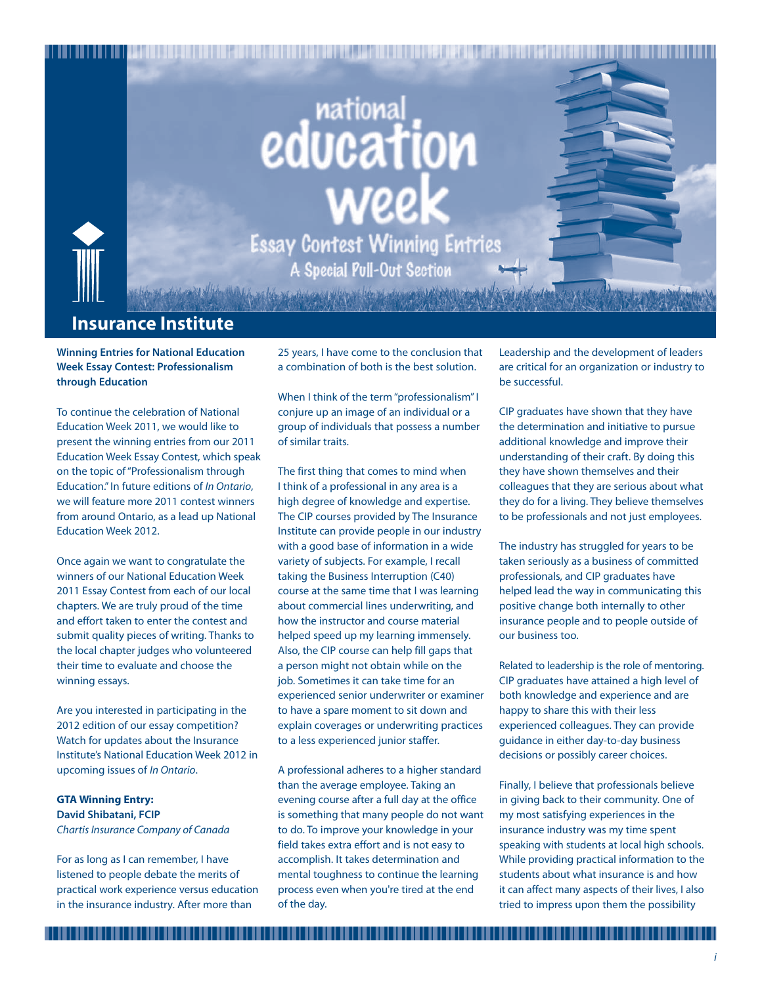# **educational**<br>education weel Essay Contest Winning Entries **A Special Pull-Out Section**

# **Insurance Institute**

**Winning Entries for National Education Week Essay Contest: Professionalism through Education**

To continue the celebration of National Education Week 2011, we would like to present the winning entries from our 2011 Education Week Essay Contest, which speak on the topic of "Professionalism through Education." In future editions of In Ontario, we will feature more 2011 contest winners from around Ontario, as a lead up National Education Week 2012.

Once again we want to congratulate the winners of our National Education Week 2011 Essay Contest from each of our local chapters. We are truly proud of the time and effort taken to enter the contest and submit quality pieces of writing. Thanks to the local chapter judges who volunteered their time to evaluate and choose the winning essays.

Are you interested in participating in the 2012 edition of our essay competition? Watch for updates about the Insurance Institute's National Education Week 2012 in upcoming issues of In Ontario.

# **GTA Winning Entry: David Shibatani, FCIP**

Chartis Insurance Company of Canada

For as long as I can remember, I have listened to people debate the merits of practical work experience versus education in the insurance industry. After more than

25 years, I have come to the conclusion that a combination of both is the best solution.

When I think of the term "professionalism" I conjure up an image of an individual or a group of individuals that possess a number of similar traits.

The first thing that comes to mind when I think of a professional in any area is a high degree of knowledge and expertise. The CIP courses provided by The Insurance Institute can provide people in our industry with a good base of information in a wide variety of subjects. For example, I recall taking the Business Interruption (C40) course at the same time that I was learning about commercial lines underwriting, and how the instructor and course material helped speed up my learning immensely. Also, the CIP course can help fill gaps that a person might not obtain while on the job. Sometimes it can take time for an experienced senior underwriter or examiner to have a spare moment to sit down and explain coverages or underwriting practices to a less experienced junior staffer.

A professional adheres to a higher standard than the average employee. Taking an evening course after a full day at the office is something that many people do not want to do. To improve your knowledge in your field takes extra effort and is not easy to accomplish. It takes determination and mental toughness to continue the learning process even when you're tired at the end of the day.

Leadership and the development of leaders are critical for an organization or industry to be successful.

CIP graduates have shown that they have the determination and initiative to pursue additional knowledge and improve their understanding of their craft. By doing this they have shown themselves and their colleagues that they are serious about what they do for a living. They believe themselves to be professionals and not just employees.

The industry has struggled for years to be taken seriously as a business of committed professionals, and CIP graduates have helped lead the way in communicating this positive change both internally to other insurance people and to people outside of our business too.

Related to leadership is the role of mentoring. CIP graduates have attained a high level of both knowledge and experience and are happy to share this with their less experienced colleagues. They can provide guidance in either day-to-day business decisions or possibly career choices.

Finally, I believe that professionals believe in giving back to their community. One of my most satisfying experiences in the insurance industry was my time spent speaking with students at local high schools. While providing practical information to the students about what insurance is and how it can affect many aspects of their lives, I also tried to impress upon them the possibility

,,,,,,,,,,,,,,,,,,,,,,,,,,,,,,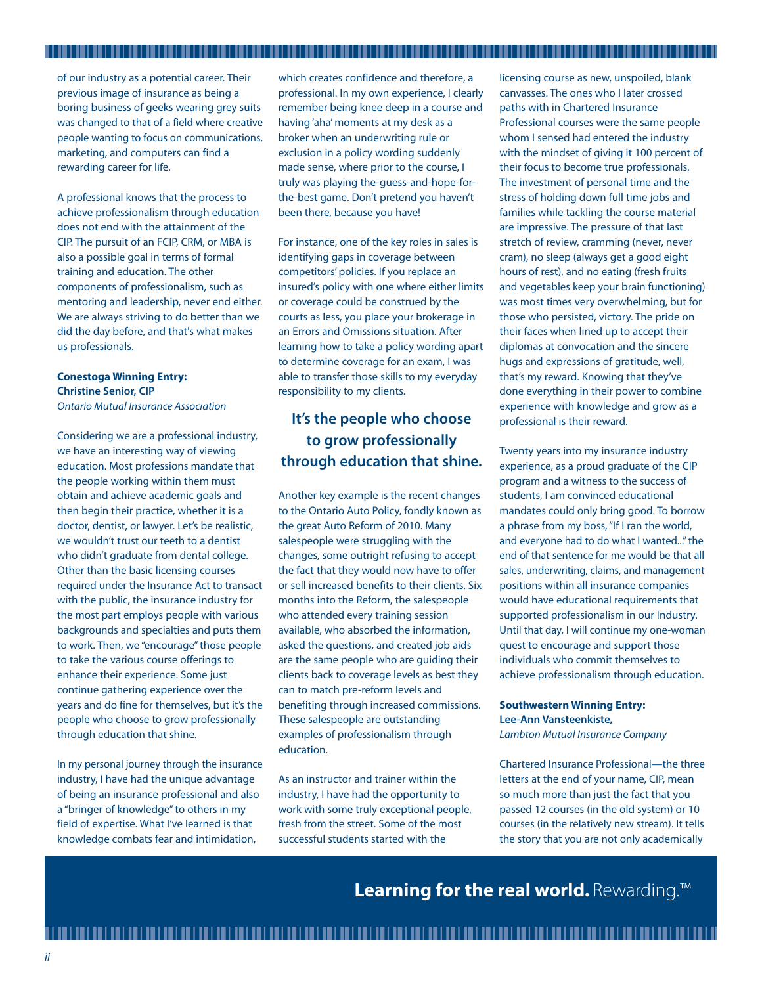of our industry as a potential career. Their previous image of insurance as being a boring business of geeks wearing grey suits was changed to that of a field where creative people wanting to focus on communications, marketing, and computers can find a rewarding career for life.

A professional knows that the process to achieve professionalism through education does not end with the attainment of the CIP. The pursuit of an FCIP, CRM, or MBA is also a possible goal in terms of formal training and education. The other components of professionalism, such as mentoring and leadership, never end either. We are always striving to do better than we did the day before, and that's what makes us professionals.

# **Conestoga Winning Entry: Christine Senior, CIP** Ontario Mutual Insurance Association

Considering we are a professional industry, we have an interesting way of viewing education. Most professions mandate that the people working within them must obtain and achieve academic goals and then begin their practice, whether it is a doctor, dentist, or lawyer. Let's be realistic, we wouldn't trust our teeth to a dentist who didn't graduate from dental college. Other than the basic licensing courses required under the Insurance Act to transact with the public, the insurance industry for the most part employs people with various backgrounds and specialties and puts them to work. Then, we "encourage" those people to take the various course offerings to enhance their experience. Some just continue gathering experience over the years and do fine for themselves, but it's the people who choose to grow professionally through education that shine.

In my personal journey through the insurance industry, I have had the unique advantage of being an insurance professional and also a "bringer of knowledge" to others in my field of expertise. What I've learned is that knowledge combats fear and intimidation,

which creates confidence and therefore, a professional. In my own experience, I clearly remember being knee deep in a course and having 'aha' moments at my desk as a broker when an underwriting rule or exclusion in a policy wording suddenly made sense, where prior to the course, I truly was playing the-guess-and-hope-forthe-best game. Don't pretend you haven't been there, because you have!

For instance, one of the key roles in sales is identifying gaps in coverage between competitors' policies. If you replace an insured's policy with one where either limits or coverage could be construed by the courts as less, you place your brokerage in an Errors and Omissions situation. After learning how to take a policy wording apart to determine coverage for an exam, I was able to transfer those skills to my everyday responsibility to my clients.

# **It's the people who choose to grow professionally through education that shine.**

Another key example is the recent changes to the Ontario Auto Policy, fondly known as the great Auto Reform of 2010. Many salespeople were struggling with the changes, some outright refusing to accept the fact that they would now have to offer or sell increased benefits to their clients. Six months into the Reform, the salespeople who attended every training session available, who absorbed the information, asked the questions, and created job aids are the same people who are guiding their clients back to coverage levels as best they can to match pre-reform levels and benefiting through increased commissions. These salespeople are outstanding examples of professionalism through education.

As an instructor and trainer within the industry, I have had the opportunity to work with some truly exceptional people, fresh from the street. Some of the most successful students started with the

licensing course as new, unspoiled, blank canvasses. The ones who I later crossed paths with in Chartered Insurance Professional courses were the same people whom I sensed had entered the industry with the mindset of giving it 100 percent of their focus to become true professionals. The investment of personal time and the stress of holding down full time jobs and families while tackling the course material are impressive. The pressure of that last stretch of review, cramming (never, never cram), no sleep (always get a good eight hours of rest), and no eating (fresh fruits and vegetables keep your brain functioning) was most times very overwhelming, but for those who persisted, victory. The pride on their faces when lined up to accept their diplomas at convocation and the sincere hugs and expressions of gratitude, well, that's my reward. Knowing that they've done everything in their power to combine experience with knowledge and grow as a professional is their reward.

Twenty years into my insurance industry experience, as a proud graduate of the CIP program and a witness to the success of students, I am convinced educational mandates could only bring good. To borrow a phrase from my boss, "If I ran the world, and everyone had to do what I wanted..." the end of that sentence for me would be that all sales, underwriting, claims, and management positions within all insurance companies would have educational requirements that supported professionalism in our Industry. Until that day, I will continue my one-woman quest to encourage and support those individuals who commit themselves to achieve professionalism through education.

# **Southwestern Winning Entry: Lee-Ann Vansteenkiste,**

Lambton Mutual Insurance Company

Chartered Insurance Professional—the three letters at the end of your name, CIP, mean so much more than just the fact that you passed 12 courses (in the old system) or 10 courses (in the relatively new stream). It tells the story that you are not only academically

**Learning for the real world.** Rewarding.™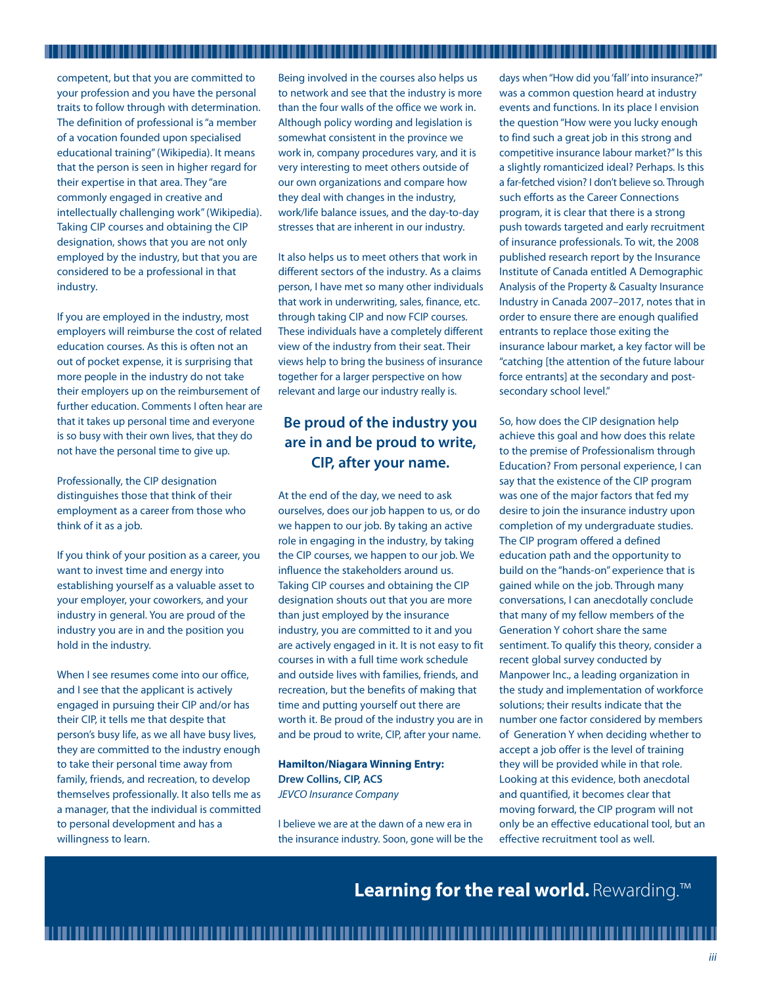competent, but that you are committed to your profession and you have the personal traits to follow through with determination. The definition of professional is "a member of a vocation founded upon specialised educational training" (Wikipedia). It means that the person is seen in higher regard for their expertise in that area. They "are commonly engaged in creative and intellectually challenging work" (Wikipedia). Taking CIP courses and obtaining the CIP designation, shows that you are not only employed by the industry, but that you are considered to be a professional in that industry.

If you are employed in the industry, most employers will reimburse the cost of related education courses. As this is often not an out of pocket expense, it is surprising that more people in the industry do not take their employers up on the reimbursement of further education. Comments I often hear are that it takes up personal time and everyone is so busy with their own lives, that they do not have the personal time to give up.

Professionally, the CIP designation distinguishes those that think of their employment as a career from those who think of it as a job.

If you think of your position as a career, you want to invest time and energy into establishing yourself as a valuable asset to your employer, your coworkers, and your industry in general. You are proud of the industry you are in and the position you hold in the industry.

When I see resumes come into our office, and I see that the applicant is actively engaged in pursuing their CIP and/or has their CIP, it tells me that despite that person's busy life, as we all have busy lives, they are committed to the industry enough to take their personal time away from family, friends, and recreation, to develop themselves professionally. It also tells me as a manager, that the individual is committed to personal development and has a willingness to learn.

Being involved in the courses also helps us to network and see that the industry is more than the four walls of the office we work in. Although policy wording and legislation is somewhat consistent in the province we work in, company procedures vary, and it is very interesting to meet others outside of our own organizations and compare how they deal with changes in the industry, work/life balance issues, and the day-to-day stresses that are inherent in our industry.

It also helps us to meet others that work in different sectors of the industry. As a claims person, I have met so many other individuals that work in underwriting, sales, finance, etc. through taking CIP and now FCIP courses. These individuals have a completely different view of the industry from their seat. Their views help to bring the business of insurance together for a larger perspective on how relevant and large our industry really is.

# **Be proud of the industry you are in and be proud to write, CIP, after your name.**

At the end of the day, we need to ask ourselves, does our job happen to us, or do we happen to our job. By taking an active role in engaging in the industry, by taking the CIP courses, we happen to our job. We influence the stakeholders around us. Taking CIP courses and obtaining the CIP designation shouts out that you are more than just employed by the insurance industry, you are committed to it and you are actively engaged in it. It is not easy to fit courses in with a full time work schedule and outside lives with families, friends, and recreation, but the benefits of making that time and putting yourself out there are worth it. Be proud of the industry you are in and be proud to write, CIP, after your name.

**Hamilton/Niagara Winning Entry: Drew Collins, CIP, ACS** JEVCO Insurance Company

I believe we are at the dawn of a new era in the insurance industry. Soon, gone will be the

days when "How did you 'fall' into insurance?" was a common question heard at industry events and functions. In its place I envision the question "How were you lucky enough to find such a great job in this strong and competitive insurance labour market?" Is this a slightly romanticized ideal? Perhaps. Is this a far-fetched vision? I don't believe so. Through such efforts as the Career Connections program, it is clear that there is a strong push towards targeted and early recruitment of insurance professionals. To wit, the 2008 published research report by the Insurance Institute of Canada entitled A Demographic Analysis of the Property & Casualty Insurance Industry in Canada 2007–2017, notes that in order to ensure there are enough qualified entrants to replace those exiting the insurance labour market, a key factor will be "catching [the attention of the future labour force entrants] at the secondary and postsecondary school level."

,,,,,,,,,,,,,,,,,,,,,,,,,

So, how does the CIP designation help achieve this goal and how does this relate to the premise of Professionalism through Education? From personal experience, I can say that the existence of the CIP program was one of the major factors that fed my desire to join the insurance industry upon completion of my undergraduate studies. The CIP program offered a defined education path and the opportunity to build on the "hands-on" experience that is gained while on the job. Through many conversations, I can anecdotally conclude that many of my fellow members of the Generation Y cohort share the same sentiment. To qualify this theory, consider a recent global survey conducted by Manpower Inc., a leading organization in the study and implementation of workforce solutions; their results indicate that the number one factor considered by members of Generation Y when deciding whether to accept a job offer is the level of training they will be provided while in that role. Looking at this evidence, both anecdotal and quantified, it becomes clear that moving forward, the CIP program will not only be an effective educational tool, but an effective recruitment tool as well.

**Learning for the real world.** Rewarding.™